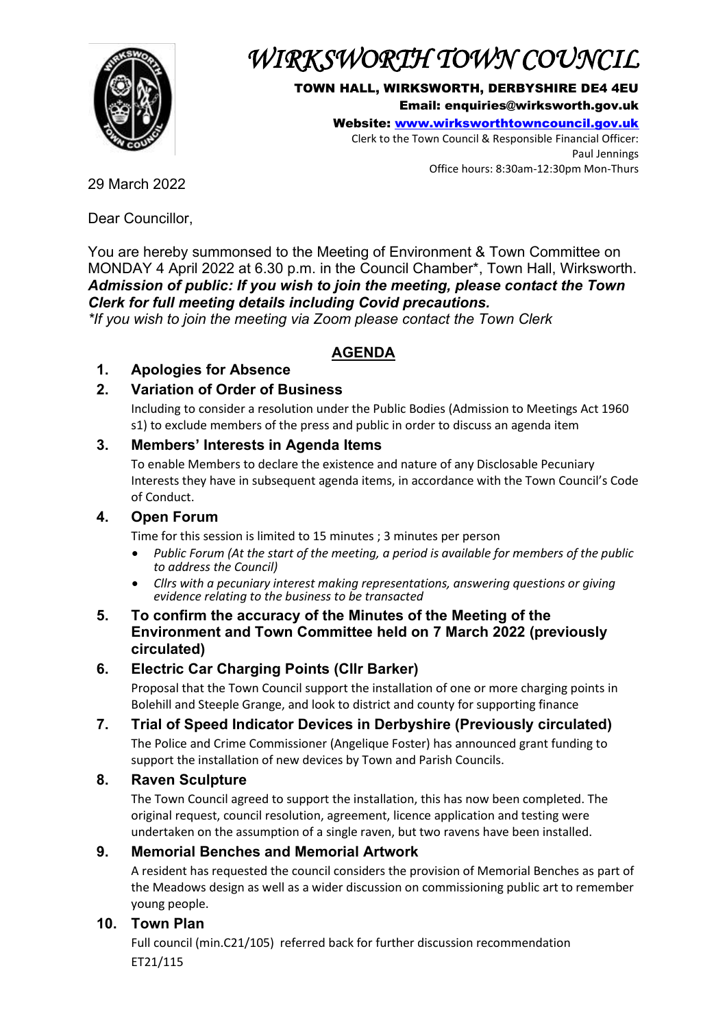

# *WIRKSWORTH TOWN COUNCIL*

TOWN HALL, WIRKSWORTH, DERBYSHIRE DE4 4EU Email: enquiries@wirksworth.gov.uk

Website: [www.wirksworthtowncouncil.gov.uk](http://www.wirksworthtowncouncil.gov.uk/) Clerk to the Town Council & Responsible Financial Officer: Paul Jennings Office hours: 8:30am-12:30pm Mon-Thurs

29 March 2022

Dear Councillor,

You are hereby summonsed to the Meeting of Environment & Town Committee on MONDAY 4 April 2022 at 6.30 p.m. in the Council Chamber\*, Town Hall, Wirksworth. *Admission of public: If you wish to join the meeting, please contact the Town Clerk for full meeting details including Covid precautions.*

*\*If you wish to join the meeting via Zoom please contact the Town Clerk*

# **AGENDA**

## **1. Apologies for Absence**

## **2. Variation of Order of Business**

Including to consider a resolution under the Public Bodies (Admission to Meetings Act 1960 s1) to exclude members of the press and public in order to discuss an agenda item

#### **3. Members' Interests in Agenda Items**

To enable Members to declare the existence and nature of any Disclosable Pecuniary Interests they have in subsequent agenda items, in accordance with the Town Council's Code of Conduct.

## **4. Open Forum**

Time for this session is limited to 15 minutes ; 3 minutes per person

- *Public Forum (At the start of the meeting, a period is available for members of the public to address the Council)*
- *Cllrs with a pecuniary interest making representations, answering questions or giving evidence relating to the business to be transacted*
- **5. To confirm the accuracy of the Minutes of the Meeting of the Environment and Town Committee held on 7 March 2022 (previously circulated)**

## **6. Electric Car Charging Points (Cllr Barker)**

Proposal that the Town Council support the installation of one or more charging points in Bolehill and Steeple Grange, and look to district and county for supporting finance

**7. Trial of Speed Indicator Devices in Derbyshire (Previously circulated)** The Police and Crime Commissioner (Angelique Foster) has announced grant funding to support the installation of new devices by Town and Parish Councils.

## **8. Raven Sculpture**

The Town Council agreed to support the installation, this has now been completed. The original request, council resolution, agreement, licence application and testing were undertaken on the assumption of a single raven, but two ravens have been installed.

## **9. Memorial Benches and Memorial Artwork**

A resident has requested the council considers the provision of Memorial Benches as part of the Meadows design as well as a wider discussion on commissioning public art to remember young people.

## **10. Town Plan**

Full council (min.C21/105) referred back for further discussion recommendation ET21/115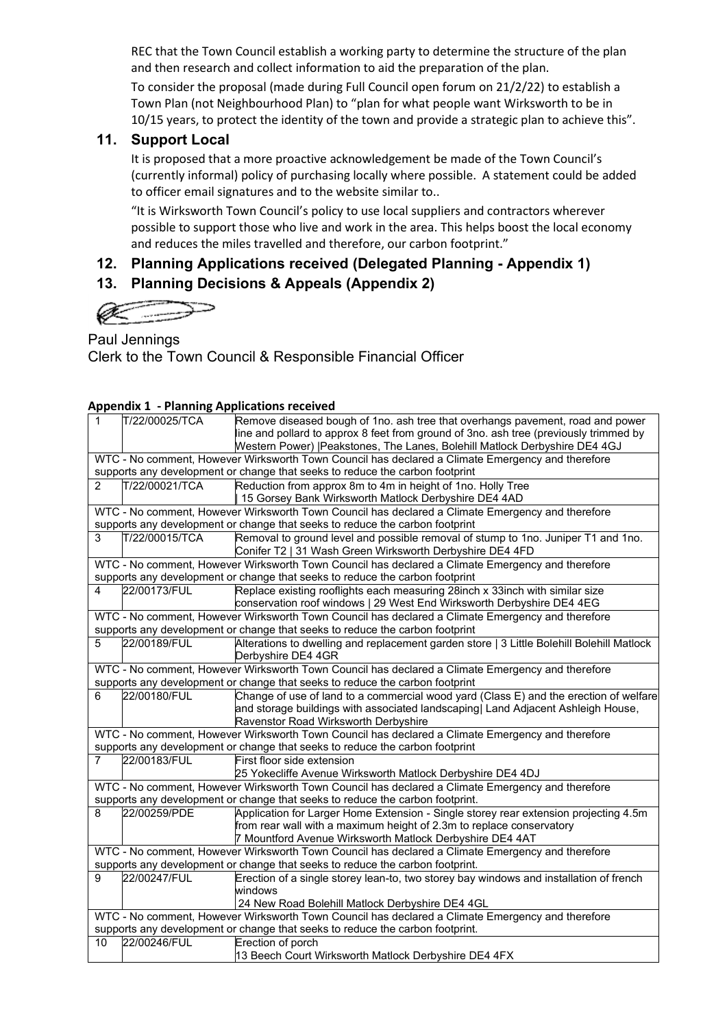REC that the Town Council establish a working party to determine the structure of the plan and then research and collect information to aid the preparation of the plan.

To consider the proposal (made during Full Council open forum on 21/2/22) to establish a Town Plan (not Neighbourhood Plan) to "plan for what people want Wirksworth to be in 10/15 years, to protect the identity of the town and provide a strategic plan to achieve this".

#### **11. Support Local**

It is proposed that a more proactive acknowledgement be made of the Town Council's (currently informal) policy of purchasing locally where possible. A statement could be added to officer email signatures and to the website similar to..

"It is Wirksworth Town Council's policy to use local suppliers and contractors wherever possible to support those who live and work in the area. This helps boost the local economy and reduces the miles travelled and therefore, our carbon footprint."

#### **12. Planning Applications received (Delegated Planning - Appendix 1)**

#### **13. Planning Decisions & Appeals (Appendix 2)**

Ø

Paul Jennings

Clerk to the Town Council & Responsible Financial Officer

#### **Appendix 1 - Planning Applications received**

| . .                                                                                              |                |                                                                                                                                               |  |
|--------------------------------------------------------------------------------------------------|----------------|-----------------------------------------------------------------------------------------------------------------------------------------------|--|
| 1                                                                                                | T/22/00025/TCA | Remove diseased bough of 1no. ash tree that overhangs pavement, road and power                                                                |  |
|                                                                                                  |                | line and pollard to approx 8 feet from ground of 3no. ash tree (previously trimmed by                                                         |  |
|                                                                                                  |                | Western Power)   Peakstones, The Lanes, Bolehill Matlock Derbyshire DE4 4GJ                                                                   |  |
| WTC - No comment, However Wirksworth Town Council has declared a Climate Emergency and therefore |                |                                                                                                                                               |  |
| supports any development or change that seeks to reduce the carbon footprint                     |                |                                                                                                                                               |  |
| $\mathcal{P}$                                                                                    | T/22/00021/TCA | Reduction from approx 8m to 4m in height of 1no. Holly Tree                                                                                   |  |
|                                                                                                  |                | 15 Gorsey Bank Wirksworth Matlock Derbyshire DE4 4AD                                                                                          |  |
| WTC - No comment, However Wirksworth Town Council has declared a Climate Emergency and therefore |                |                                                                                                                                               |  |
| supports any development or change that seeks to reduce the carbon footprint                     |                |                                                                                                                                               |  |
| 3                                                                                                | T/22/00015/TCA | Removal to ground level and possible removal of stump to 1no. Juniper T1 and 1no.<br>Conifer T2   31 Wash Green Wirksworth Derbyshire DE4 4FD |  |
| WTC - No comment, However Wirksworth Town Council has declared a Climate Emergency and therefore |                |                                                                                                                                               |  |
| supports any development or change that seeks to reduce the carbon footprint                     |                |                                                                                                                                               |  |
| 4                                                                                                | 22/00173/FUL   | Replace existing rooflights each measuring 28inch x 33inch with similar size                                                                  |  |
|                                                                                                  |                | conservation roof windows   29 West End Wirksworth Derbyshire DE4 4EG                                                                         |  |
| WTC - No comment, However Wirksworth Town Council has declared a Climate Emergency and therefore |                |                                                                                                                                               |  |
| supports any development or change that seeks to reduce the carbon footprint                     |                |                                                                                                                                               |  |
| 5                                                                                                | 22/00189/FUL   | Alterations to dwelling and replacement garden store   3 Little Bolehill Bolehill Matlock                                                     |  |
|                                                                                                  |                | Derbyshire DE4 4GR                                                                                                                            |  |
| WTC - No comment, However Wirksworth Town Council has declared a Climate Emergency and therefore |                |                                                                                                                                               |  |
| supports any development or change that seeks to reduce the carbon footprint                     |                |                                                                                                                                               |  |
| 6                                                                                                | 22/00180/FUL   | Change of use of land to a commercial wood yard (Class E) and the erection of welfare                                                         |  |
|                                                                                                  |                | and storage buildings with associated landscaping  Land Adjacent Ashleigh House,                                                              |  |
|                                                                                                  |                | Ravenstor Road Wirksworth Derbyshire                                                                                                          |  |
|                                                                                                  |                | WTC - No comment, However Wirksworth Town Council has declared a Climate Emergency and therefore                                              |  |
| supports any development or change that seeks to reduce the carbon footprint                     |                |                                                                                                                                               |  |
| $\overline{7}$                                                                                   | 22/00183/FUL   | First floor side extension                                                                                                                    |  |
|                                                                                                  |                | 25 Yokecliffe Avenue Wirksworth Matlock Derbyshire DE4 4DJ                                                                                    |  |
| WTC - No comment, However Wirksworth Town Council has declared a Climate Emergency and therefore |                |                                                                                                                                               |  |
| supports any development or change that seeks to reduce the carbon footprint.                    |                |                                                                                                                                               |  |
| 8                                                                                                | 22/00259/PDE   | Application for Larger Home Extension - Single storey rear extension projecting 4.5m                                                          |  |
|                                                                                                  |                | from rear wall with a maximum height of 2.3m to replace conservatory                                                                          |  |
|                                                                                                  |                | 7 Mountford Avenue Wirksworth Matlock Derbyshire DE4 4AT                                                                                      |  |
| WTC - No comment, However Wirksworth Town Council has declared a Climate Emergency and therefore |                |                                                                                                                                               |  |
| supports any development or change that seeks to reduce the carbon footprint.                    |                |                                                                                                                                               |  |
| 9                                                                                                | 22/00247/FUL   | Erection of a single storey lean-to, two storey bay windows and installation of french                                                        |  |
|                                                                                                  |                | windows                                                                                                                                       |  |
|                                                                                                  |                | 24 New Road Bolehill Matlock Derbyshire DE4 4GL                                                                                               |  |
| WTC - No comment, However Wirksworth Town Council has declared a Climate Emergency and therefore |                |                                                                                                                                               |  |
| supports any development or change that seeks to reduce the carbon footprint.                    |                |                                                                                                                                               |  |
| 10                                                                                               | 22/00246/FUL   | Erection of porch                                                                                                                             |  |
|                                                                                                  |                | 13 Beech Court Wirksworth Matlock Derbyshire DE4 4FX                                                                                          |  |